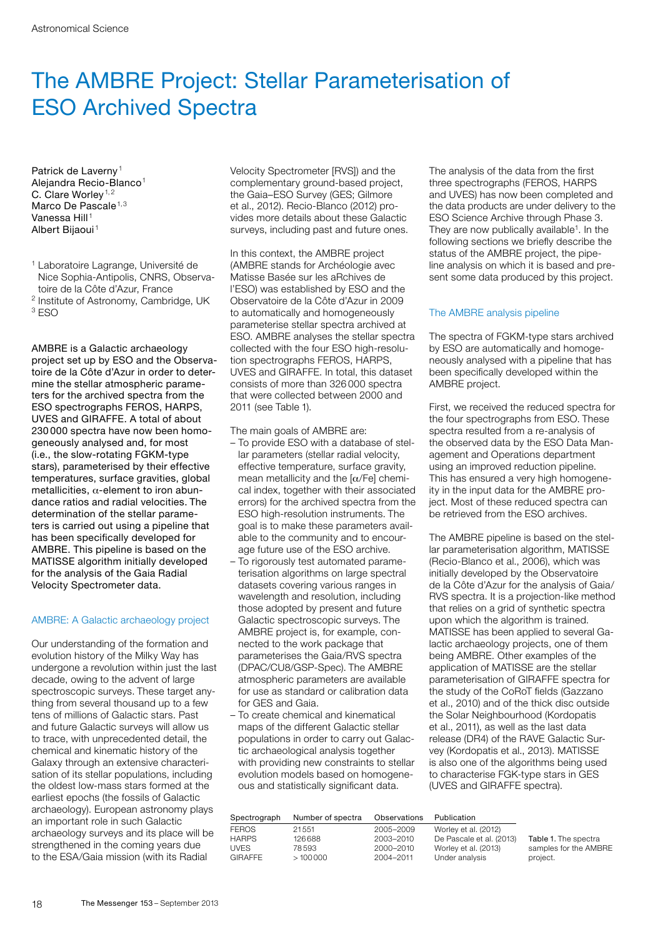# The AMBRE Project: Stellar Parameterisation of ESO Archived Spectra

Patrick de Laverny<sup>1</sup> Alejandra Recio-Blanco<sup>1</sup> C. Clare Worley<sup>1,2</sup> Marco De Pascale<sup>1,3</sup> Vanessa Hill<sup>1</sup> Albert Bijaoui <sup>1</sup>

- <sup>1</sup> Laboratoire Lagrange, Université de Nice Sophia-Antipolis, CNRS, Observatoire de la Côte d'Azur, France
- <sup>2</sup> Institute of Astronomy, Cambridge, UK

<sup>3</sup> ESO

AMBRE is a Galactic archaeology project set up by ESO and the Observatoire de la Côte d'Azur in order to determine the stellar atmospheric parameters for the archived spectra from the ESO spectrographs FEROS, HARPS, UVES and GIRAFFE. A total of about 230 000 spectra have now been homogeneously analysed and, for most (i.e., the slow-rotating FGKM-type stars), parameterised by their effective temperatures, surface gravities, global metallicities,  $\alpha$ -element to iron abundance ratios and radial velocities. The determination of the stellar parameters is carried out using a pipeline that has been specifically developed for AMBRE. This pipeline is based on the MATISSE algorithm initially developed for the analysis of the Gaia Radial Velocity Spectrometer data.

# AMBRE: A Galactic archaeology project

Our understanding of the formation and evolution history of the Milky Way has undergone a revolution within just the last decade, owing to the advent of large spectroscopic surveys. These target anything from several thousand up to a few tens of millions of Galactic stars. Past and future Galactic surveys will allow us to trace, with unprecedented detail, the chemical and kinematic history of the Galaxy through an extensive characterisation of its stellar populations, including the oldest low-mass stars formed at the earliest epochs (the fossils of Galactic archaeology). European astronomy plays an important role in such Galactic archaeology surveys and its place will be strengthened in the coming years due to the ESA/Gaia mission (with its Radial

Velocity Spectrometer [RVS]) and the complementary ground-based project, the Gaia–ESO Survey (GES; Gilmore et al., 2012). Recio-Blanco (2012) provides more details about these Galactic surveys, including past and future ones.

In this context, the AMBRE project (AMBRE stands for Archéologie avec Matisse Basée sur les aRchives de l'ESO) was established by ESO and the Observatoire de la Côte d'Azur in 2009 to automatically and homogeneously parameterise stellar spectra archived at ESO. AMBRE analyses the stellar spectra collected with the four ESO high-resolution spectrographs FEROS, HARPS, UVES and GIRAFFE. In total, this dataset consists of more than 326 000 spectra that were collected between 2000 and 2011 (see Table 1).

The main goals of AMBRE are:

- To provide ESO with a database of stellar parameters (stellar radial velocity, effective temperature, surface gravity, mean metallicity and the  $\alpha$ /Fe] chemical index, together with their associated errors) for the archived spectra from the ESO high-resolution instruments. The goal is to make these parameters available to the community and to encourage future use of the ESO archive.
- To rigorously test automated parameterisation algorithms on large spectral datasets covering various ranges in wavelength and resolution, including those adopted by present and future Galactic spectroscopic surveys. The AMBRE project is, for example, connected to the work package that parameterises the Gaia/RVS spectra (DPAC/CU8/GSP-Spec). The AMBRE atmospheric parameters are available for use as standard or calibration data for GES and Gaia.
- To create chemical and kinematical maps of the different Galactic stellar populations in order to carry out Galactic archaeological analysis together with providing new constraints to stellar evolution models based on homogeneous and statistically significant data.

The analysis of the data from the first three spectrographs (FEROS, HARPS and UVES) has now been completed and the data products are under delivery to the ESO Science Archive through Phase 3. They are now publically available<sup>1</sup>. In the following sections we briefly describe the status of the AMBRE project, the pipeline analysis on which it is based and present some data produced by this project.

# The AMBRE analysis pipeline

The spectra of FGKM-type stars archived by ESO are automatically and homogeneously analysed with a pipeline that has been specifically developed within the AMBRE project.

First, we received the reduced spectra for the four spectrographs from ESO. These spectra resulted from a re-analysis of the observed data by the ESO Data Management and Operations department using an improved reduction pipeline. This has ensured a very high homogeneity in the input data for the AMBRE project. Most of these reduced spectra can be retrieved from the ESO archives.

The AMBRE pipeline is based on the stellar parameterisation algorithm, MATISSE (Recio-Blanco et al., 2006), which was initially developed by the Observatoire de la Côte d'Azur for the analysis of Gaia/ RVS spectra. It is a projection-like method that relies on a grid of synthetic spectra upon which the algorithm is trained. MATISSE has been applied to several Galactic archaeology projects, one of them being AMBRE. Other examples of the application of MATISSE are the stellar parameterisation of GIRAFFE spectra for the study of the CoRoT fields (Gazzano et al., 2010) and of the thick disc outside the Solar Neighbourhood (Kordopatis et al., 2011), as well as the last data release (DR4) of the RAVE Galactic Survey (Kordopatis et al., 2013). MATISSE is also one of the algorithms being used to characterise FGK-type stars in GES (UVES and GIRAFFE spectra).

| Spectrograph   | Number of spectra | Observations | Publication              |                       |
|----------------|-------------------|--------------|--------------------------|-----------------------|
| <b>FEROS</b>   | 21551             | 2005-2009    | Worley et al. (2012)     |                       |
| <b>HARPS</b>   | 126688            | 2003-2010    | De Pascale et al. (2013) | Table 1. The spectra  |
| <b>UVES</b>    | 78593             | 2000-2010    | Worley et al. (2013)     | samples for the AMBRE |
| <b>GIRAFFE</b> | >100000           | 2004-2011    | Under analysis           | project.              |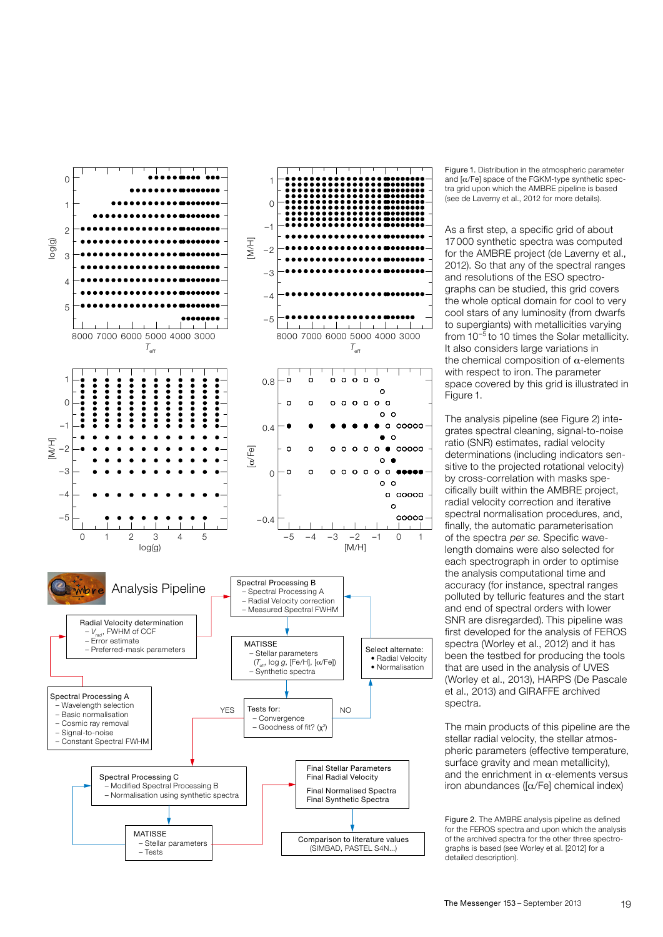

Figure 1. Distribution in the atmospheric parameter and  $\alpha$ /Fe] space of the FGKM-type synthetic spectra grid upon which the AMBRE pipeline is based (see de Laverny et al., 2012 for more details).

As a first step, a specific grid of about 17000 synthetic spectra was computed for the AMBRE project (de Laverny et al., 2012). So that any of the spectral ranges and resolutions of the ESO spectrographs can be studied, this grid covers the whole optical domain for cool to very cool stars of any luminosity (from dwarfs to supergiants) with metallicities varying from 10–5 to 10 times the Solar metallicity. It also considers large variations in the chemical composition of  $\alpha$ -elements with respect to iron. The parameter space covered by this grid is illustrated in Figure 1.

The analysis pipeline (see Figure 2) integrates spectral cleaning, signal-to-noise ratio (SNR) estimates, radial velocity determinations (including indicators sensitive to the projected rotational velocity) by cross-correlation with masks specifically built within the AMBRE project, radial velocity correction and iterative spectral normalisation procedures, and, finally, the automatic parameterisation of the spectra per se. Specific wavelength domains were also selected for each spectrograph in order to optimise the analysis computational time and accuracy (for instance, spectral ranges polluted by telluric features and the start and end of spectral orders with lower SNR are disregarded). This pipeline was first developed for the analysis of FEROS spectra (Worley et al., 2012) and it has been the testbed for producing the tools that are used in the analysis of UVES (Worley et al., 2013), HARPS (De Pascale et al., 2013) and GIRAFFE archived spectra.

The main products of this pipeline are the stellar radial velocity, the stellar atmospheric parameters (effective temperature, surface gravity and mean metallicity). and the enrichment in  $\alpha$ -elements versus iron abundances ( $\alpha$ /Fe] chemical index)

Figure 2. The AMBRE analysis pipeline as defined for the FEROS spectra and upon which the analysis of the archived spectra for the other three spectrographs is based (see Worley et al. [2012] for a detailed description).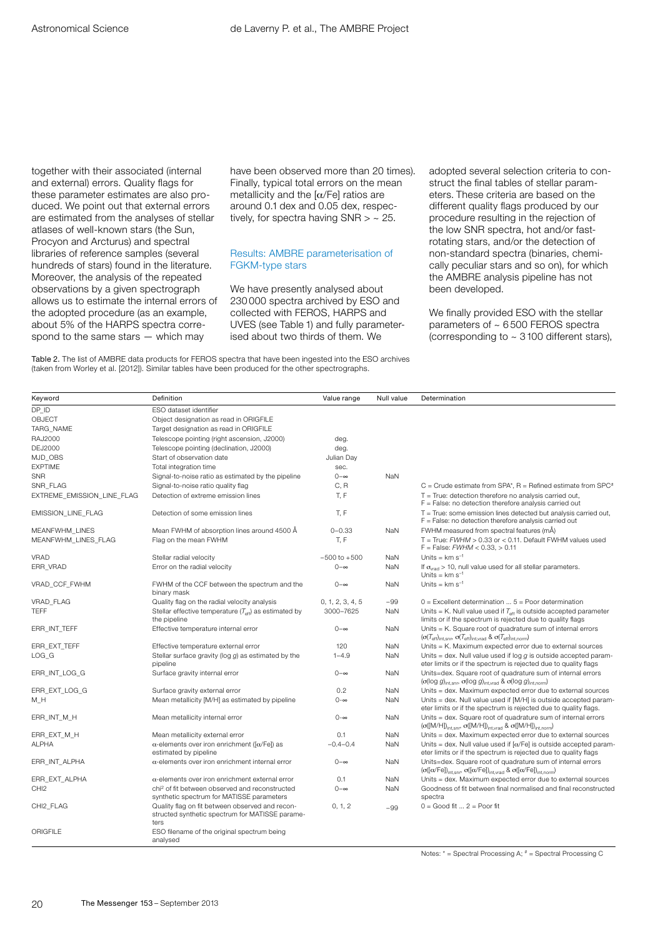together with their associated (internal and external) errors. Quality flags for these parameter estimates are also produced. We point out that external errors are estimated from the analyses of stellar atlases of well-known stars (the Sun, Procyon and Arcturus) and spectral libraries of reference samples (several hundreds of stars) found in the literature. Moreover, the analysis of the repeated observations by a given spectrograph allows us to estimate the internal errors of the adopted procedure (as an example, about 5% of the HARPS spectra correspond to the same stars — which may

have been observed more than 20 times). Finally, typical total errors on the mean metallicity and the  $\lceil \alpha/\text{Fe} \rceil$  ratios are around 0.1 dex and 0.05 dex, respectively, for spectra having  $SNR > \sim 25$ .

### Results: AMBRE parameterisation of FGKM-type stars

We have presently analysed about 230 000 spectra archived by ESO and collected with FEROS, HARPS and UVES (see Table 1) and fully parameterised about two thirds of them. We

Table 2. The list of AMBRE data products for FEROS spectra that have been ingested into the ESO archives (taken from Worley et al. [2012]). Similar tables have been produced for the other spectrographs.

adopted several selection criteria to construct the final tables of stellar parameters. These criteria are based on the different quality flags produced by our procedure resulting in the rejection of the low SNR spectra, hot and/or fastrotating stars, and/or the detection of non-standard spectra (binaries, chemically peculiar stars and so on), for which the AMBRE analysis pipeline has not been developed.

We finally provided ESO with the stellar parameters of ~ 6 500 FEROS spectra (corresponding to  $\sim$  3100 different stars),

| Keyword                    | Definition                                                                                                 | Value range      | Null value | Determination                                                                                                                                                                                                                |
|----------------------------|------------------------------------------------------------------------------------------------------------|------------------|------------|------------------------------------------------------------------------------------------------------------------------------------------------------------------------------------------------------------------------------|
| DP ID                      | ESO dataset identifier                                                                                     |                  |            |                                                                                                                                                                                                                              |
| OBJECT                     | Object designation as read in ORIGFILE                                                                     |                  |            |                                                                                                                                                                                                                              |
| TARG NAME                  | Target designation as read in ORIGFILE                                                                     |                  |            |                                                                                                                                                                                                                              |
| <b>RAJ2000</b>             | Telescope pointing (right ascension, J2000)                                                                | deg.             |            |                                                                                                                                                                                                                              |
| <b>DEJ2000</b>             | Telescope pointing (declination, J2000)                                                                    | deg.             |            |                                                                                                                                                                                                                              |
| MJD OBS                    | Start of observation date                                                                                  | Julian Day       |            |                                                                                                                                                                                                                              |
| <b>EXPTIME</b>             | Total integration time                                                                                     | sec.             |            |                                                                                                                                                                                                                              |
| <b>SNR</b>                 | Signal-to-noise ratio as estimated by the pipeline                                                         | $0-\infty$       | <b>NaN</b> |                                                                                                                                                                                                                              |
| SNR_FLAG                   | Signal-to-noise ratio quality flag                                                                         | C, R             |            | $C =$ Crude estimate from SPA*, $R =$ Refined estimate from SPC <sup>#</sup>                                                                                                                                                 |
| EXTREME_EMISSION_LINE_FLAG | Detection of extreme emission lines                                                                        | T.F              |            | $T = True$ : detection therefore no analysis carried out,<br>$F = False$ : no detection therefore analysis carried out                                                                                                       |
| EMISSION_LINE_FLAG         | Detection of some emission lines                                                                           | T, F             |            | $T = True$ : some emission lines detected but analysis carried out,<br>$F = False: no detection therefore analysis carried out$                                                                                              |
| <b>MEANFWHM LINES</b>      | Mean FWHM of absorption lines around 4500 Å                                                                | $0 - 0.33$       | NaN        | FWHM measured from spectral features (mÅ)                                                                                                                                                                                    |
| MEANFWHM LINES FLAG        | Flag on the mean FWHM                                                                                      | T, F             |            | T = True: $FWHM > 0.33$ or < 0.11. Default FWHM values used<br>$F = False$ : $FWHM < 0.33$ , $> 0.11$                                                                                                                        |
| VRAD                       | Stellar radial velocity                                                                                    | $-500$ to $+500$ | NaN        | Units = $km s^{-1}$                                                                                                                                                                                                          |
| ERR VRAD                   | Error on the radial velocity                                                                               | $0-\infty$       | NaN        | If $\sigma_{\text{vrad}}$ > 10, null value used for all stellar parameters.<br>Units = $km s^{-1}$                                                                                                                           |
| VRAD CCF FWHM              | FWHM of the CCF between the spectrum and the<br>binary mask                                                | $0-\infty$       | NaN        | Units = $km s^{-1}$                                                                                                                                                                                                          |
| <b>VRAD FLAG</b>           | Quality flag on the radial velocity analysis                                                               | 0, 1, 2, 3, 4, 5 | $-99$      | $0 =$ Excellent determination $5 =$ Poor determination                                                                                                                                                                       |
| TEFF                       | Stellar effective temperature $(T_{\text{eff}})$ as estimated by<br>the pipeline                           | 3000-7625        | NaN        | Units = K. Null value used if $T_{\text{eff}}$ is outside accepted parameter<br>limits or if the spectrum is rejected due to quality flags                                                                                   |
| ERR INT TEFF               | Effective temperature internal error                                                                       | $0 - \infty$     | <b>NaN</b> | Units = K. Square root of quadrature sum of internal errors<br>$(\sigma(T_{\rm eff})_{\rm int, snr}, \sigma(T_{\rm eff})_{\rm int, vrad}$ & $\sigma(T_{\rm eff})_{\rm int, norm}$                                            |
| ERR_EXT_TEFF               | Effective temperature external error                                                                       | 120              | NaN        | Units = K. Maximum expected error due to external sources                                                                                                                                                                    |
| LOG G                      | Stellar surface gravity ( $log g$ ) as estimated by the<br>pipeline                                        | $1 - 4.9$        | <b>NaN</b> | Units = dex. Null value used if $log q$ is outside accepted param-<br>eter limits or if the spectrum is rejected due to quality flags                                                                                        |
| ERR INT LOG G              | Surface gravity internal error                                                                             | $0-\infty$       | NaN        | Units=dex. Square root of quadrature sum of internal errors<br>$(\sigma(\log g)_{\rm int,snr}, \sigma(\log g)_{\rm int, vrad}$ & $\sigma(\log g)_{\rm int,norm})$                                                            |
| ERR_EXT_LOG_G              | Surface gravity external error                                                                             | 0.2              | NaN        | Units = dex. Maximum expected error due to external sources                                                                                                                                                                  |
| M_H                        | Mean metallicity [M/H] as estimated by pipeline                                                            | $0 - \infty$     | NaN        | Units = dex. Null value used if [M/H] is outside accepted param-<br>eter limits or if the spectrum is rejected due to quality flags.                                                                                         |
| ERR_INT_M_H                | Mean metallicity internal error                                                                            | $0 - \infty$     | NaN        | Units = dex. Square root of quadrature sum of internal errors<br>$(\sigma([M/H])_{int,snr}, \sigma([M/H])_{int,vrad} \& \sigma([M/H])_{int,norm})$                                                                           |
| ERR_EXT_M_H                | Mean metallicity external error                                                                            | 0.1              | <b>NaN</b> | Units = dex. Maximum expected error due to external sources                                                                                                                                                                  |
| <b>ALPHA</b>               | $\alpha$ -elements over iron enrichment ([ $\alpha$ /Fe]) as<br>estimated by pipeline                      | $-0.4 - 0.4$     | NaN        | Units = dex. Null value used if $\alpha$ /Fe] is outside accepted param-<br>eter limits or if the spectrum is rejected due to quality flags                                                                                  |
| ERR_INT_ALPHA              | $\alpha$ -elements over iron enrichment internal error                                                     | $0-\infty$       | NaN        | Units=dex. Square root of quadrature sum of internal errors<br>$\left(\sigma([\alpha/Fe])_{\text{int,snr}},\right. \left.\sigma([\alpha/Fe])_{\text{int,vrad}} \& \left.\sigma([\alpha/Fe])_{\text{int,norm}}\right)\right.$ |
| ERR_EXT_ALPHA              | $\alpha$ -elements over iron enrichment external error                                                     | 0.1              | NaN        | Units = dex. Maximum expected error due to external sources                                                                                                                                                                  |
| CHI <sub>2</sub>           | chi <sup>2</sup> of fit between observed and reconstructed<br>synthetic spectrum for MATISSE parameters    | $0-\infty$       | <b>NaN</b> | Goodness of fit between final normalised and final reconstructed<br>spectra                                                                                                                                                  |
| CHI2_FLAG                  | Quality flag on fit between observed and recon-<br>structed synthetic spectrum for MATISSE parame-<br>ters | 0, 1, 2          | $-99$      | $0 = Good fit  2 = Poor fit$                                                                                                                                                                                                 |
| ORIGFILE                   | ESO filename of the original spectrum being<br>analysed                                                    |                  |            |                                                                                                                                                                                                                              |